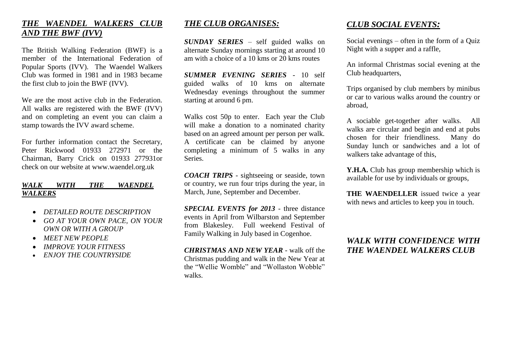#### *THE WAENDEL WALKERS CLUB AND THE BWF (IVV)*

The British Walking Federation (BWF) is a member of the International Federation of Popular Sports (IVV). The Waendel Walkers Club was formed in 1981 and in 1983 became the first club to join the BWF (IVV).

We are the most active club in the Federation. All walks are registered with the BWF (IVV) and on completing an event you can claim a stamp towards the IVV award scheme.

For further information contact the Secretary, Peter Rickwood 01933 272971 or the Chairman, Barry Crick on 01933 277931or check on our website at www.waendel.org.uk

#### *WALK WITH THE WAENDEL WALKERS*

- *DETAILED ROUTE DESCRIPTION*
- *GO AT YOUR OWN PACE, ON YOUR OWN OR WITH A GROUP*
- *MEET NEW PEOPLE*
- *IMPROVE YOUR FITNESS*
- *ENJOY THE COUNTRYSIDE*

#### *THE CLUB ORGANISES:*

*SUNDAY SERIES* – self guided walks on alternate Sunday mornings starting at around 10 am with a choice of a 10 kms or 20 kms routes

*SUMMER EVENING SERIES* - 10 self guided walks of 10 kms on alternate Wednesday evenings throughout the summer starting at around 6 pm.

Walks cost 50p to enter. Each year the Club will make a donation to a nominated charity based on an agreed amount per person per walk. A certificate can be claimed by anyone completing a minimum of 5 walks in any Series.

*COACH TRIPS* - sightseeing or seaside, town or country, we run four trips during the year, in March, June, September and December.

*SPECIAL EVENTS for 2013* - three distance events in April from Wilbarston and September from Blakesley. Full weekend Festival of Family Walking in July based in Cogenhoe.

*CHRISTMAS AND NEW YEAR* - walk off the Christmas pudding and walk in the New Year at the "Wellie Womble" and "Wollaston Wobble" walks.

# *CLUB SOCIAL EVENTS:*

Social evenings – often in the form of a Quiz Night with a supper and a raffle,

An informal Christmas social evening at the Club headquarters.

Trips organised by club members by minibus or car to various walks around the country or abroad,

A sociable get-together after walks. All walks are circular and begin and end at pubs chosen for their friendliness. Many do Sunday lunch or sandwiches and a lot of walkers take advantage of this,

Y.H.A. Club has group membership which is available for use by individuals or groups,

**THE WAENDELLER** issued twice a year with news and articles to keep you in touch.

### *WALK WITH CONFIDENCE WITH THE WAENDEL WALKERS CLUB*